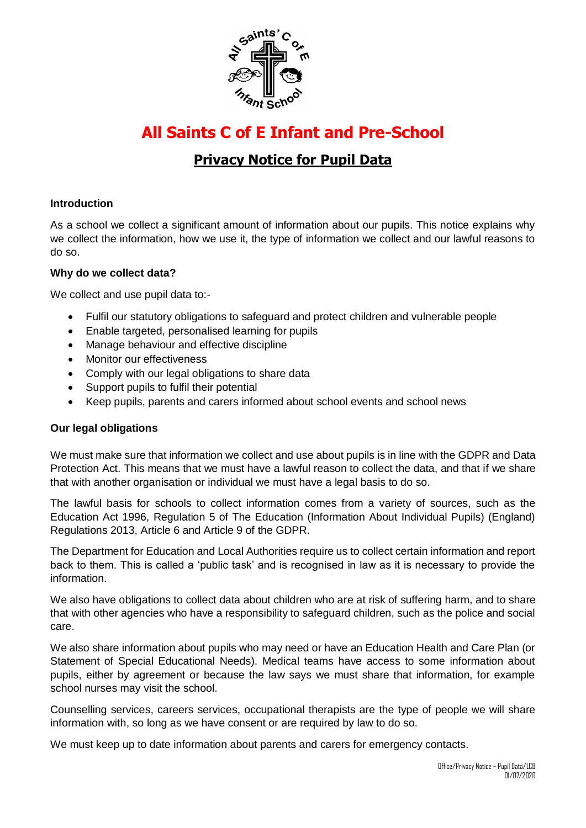

# **All Saints C of E Infant and Pre-School**

## **Privacy Notice for Pupil Data**

#### **Introduction**

As a school we collect a significant amount of information about our pupils. This notice explains why we collect the information, how we use it, the type of information we collect and our lawful reasons to do so.

#### **Why do we collect data?**

We collect and use pupil data to:-

- Fulfil our statutory obligations to safeguard and protect children and vulnerable people
- Enable targeted, personalised learning for pupils
- Manage behaviour and effective discipline
- Monitor our effectiveness
- Comply with our legal obligations to share data
- Support pupils to fulfil their potential
- Keep pupils, parents and carers informed about school events and school news

#### **Our legal obligations**

We must make sure that information we collect and use about pupils is in line with the GDPR and Data Protection Act. This means that we must have a lawful reason to collect the data, and that if we share that with another organisation or individual we must have a legal basis to do so.

The lawful basis for schools to collect information comes from a variety of sources, such as the Education Act 1996, Regulation 5 of The Education (Information About Individual Pupils) (England) Regulations 2013, Article 6 and Article 9 of the GDPR.

The Department for Education and Local Authorities require us to collect certain information and report back to them. This is called a 'public task' and is recognised in law as it is necessary to provide the information.

We also have obligations to collect data about children who are at risk of suffering harm, and to share that with other agencies who have a responsibility to safeguard children, such as the police and social care.

We also share information about pupils who may need or have an Education Health and Care Plan (or Statement of Special Educational Needs). Medical teams have access to some information about pupils, either by agreement or because the law says we must share that information, for example school nurses may visit the school.

Counselling services, careers services, occupational therapists are the type of people we will share information with, so long as we have consent or are required by law to do so.

We must keep up to date information about parents and carers for emergency contacts.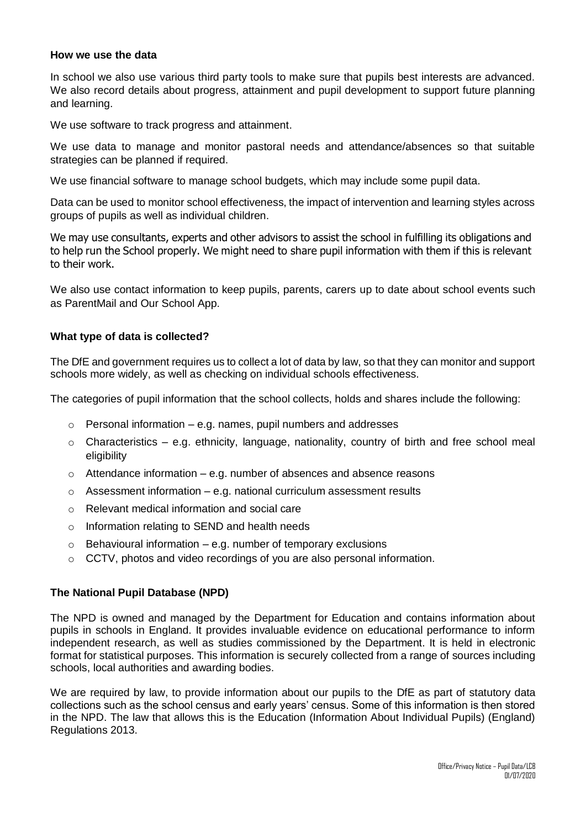#### **How we use the data**

In school we also use various third party tools to make sure that pupils best interests are advanced. We also record details about progress, attainment and pupil development to support future planning and learning.

We use software to track progress and attainment.

We use data to manage and monitor pastoral needs and attendance/absences so that suitable strategies can be planned if required.

We use financial software to manage school budgets, which may include some pupil data.

Data can be used to monitor school effectiveness, the impact of intervention and learning styles across groups of pupils as well as individual children.

We may use consultants, experts and other advisors to assist the school in fulfilling its obligations and to help run the School properly. We might need to share pupil information with them if this is relevant to their work.

We also use contact information to keep pupils, parents, carers up to date about school events such as ParentMail and Our School App.

#### **What type of data is collected?**

The DfE and government requires us to collect a lot of data by law, so that they can monitor and support schools more widely, as well as checking on individual schools effectiveness.

The categories of pupil information that the school collects, holds and shares include the following:

- $\circ$  Personal information e.g. names, pupil numbers and addresses
- $\circ$  Characteristics e.g. ethnicity, language, nationality, country of birth and free school meal eligibility
- $\circ$  Attendance information e.g. number of absences and absence reasons
- $\circ$  Assessment information e.g. national curriculum assessment results
- o Relevant medical information and social care
- o Information relating to SEND and health needs
- $\circ$  Behavioural information e.g. number of temporary exclusions
- o CCTV, photos and video recordings of you are also personal information.

#### **The National Pupil Database (NPD)**

The NPD is owned and managed by the Department for Education and contains information about pupils in schools in England. It provides invaluable evidence on educational performance to inform independent research, as well as studies commissioned by the Department. It is held in electronic format for statistical purposes. This information is securely collected from a range of sources including schools, local authorities and awarding bodies.

We are required by law, to provide information about our pupils to the DfE as part of statutory data collections such as the school census and early years' census. Some of this information is then stored in the NPD. The law that allows this is the Education (Information About Individual Pupils) (England) Regulations 2013.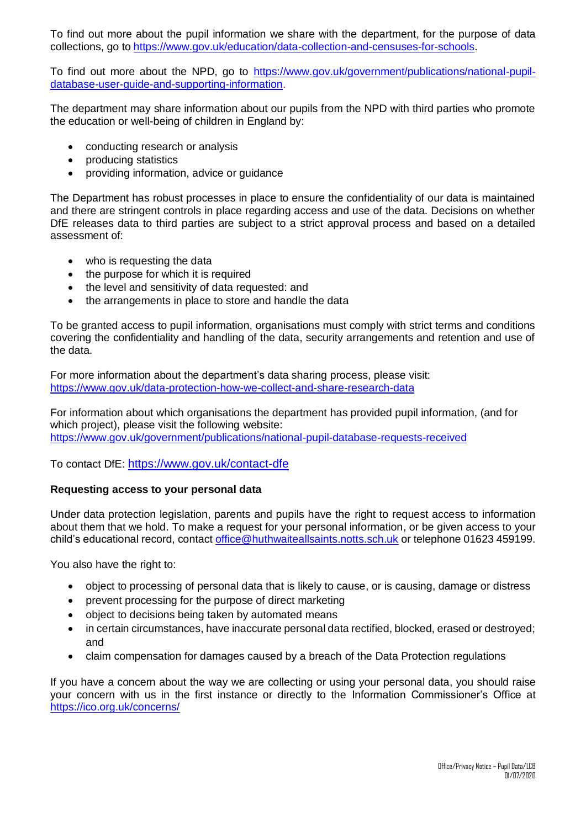To find out more about the pupil information we share with the department, for the purpose of data collections, go to [https://www.gov.uk/education/data-collection-and-censuses-for-schools.](https://www.gov.uk/education/data-collection-and-censuses-for-schools)

To find out more about the NPD, go to [https://www.gov.uk/government/publications/national-pupil](https://www.gov.uk/government/publications/national-pupil-database-user-guide-and-supporting-information)[database-user-guide-and-supporting-information.](https://www.gov.uk/government/publications/national-pupil-database-user-guide-and-supporting-information)

The department may share information about our pupils from the NPD with third parties who promote the education or well-being of children in England by:

- conducting research or analysis
- producing statistics
- providing information, advice or guidance

The Department has robust processes in place to ensure the confidentiality of our data is maintained and there are stringent controls in place regarding access and use of the data. Decisions on whether DfE releases data to third parties are subject to a strict approval process and based on a detailed assessment of:

- who is requesting the data
- the purpose for which it is required
- the level and sensitivity of data requested: and
- the arrangements in place to store and handle the data

To be granted access to pupil information, organisations must comply with strict terms and conditions covering the confidentiality and handling of the data, security arrangements and retention and use of the data.

For more information about the department's data sharing process, please visit: <https://www.gov.uk/data-protection-how-we-collect-and-share-research-data>

For information about which organisations the department has provided pupil information, (and for which project), please visit the following website: <https://www.gov.uk/government/publications/national-pupil-database-requests-received>

To contact DfE: <https://www.gov.uk/contact-dfe>

#### **Requesting access to your personal data**

Under data protection legislation, parents and pupils have the right to request access to information about them that we hold. To make a request for your personal information, or be given access to your child's educational record, contact [office@huthwaiteallsaints.notts.sch.uk](mailto:office@huthwaiteallsaints.notts.sch.uk) or telephone 01623 459199.

You also have the right to:

- object to processing of personal data that is likely to cause, or is causing, damage or distress
- prevent processing for the purpose of direct marketing
- object to decisions being taken by automated means
- in certain circumstances, have inaccurate personal data rectified, blocked, erased or destroyed; and
- claim compensation for damages caused by a breach of the Data Protection regulations

If you have a concern about the way we are collecting or using your personal data, you should raise your concern with us in the first instance or directly to the Information Commissioner's Office at <https://ico.org.uk/concerns/>